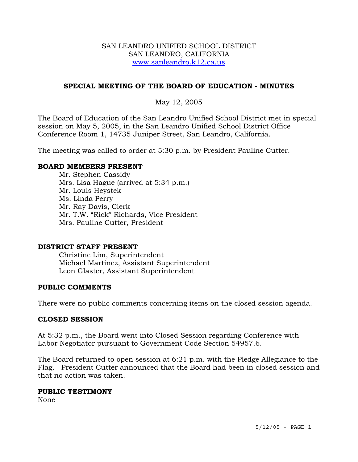### SAN LEANDRO UNIFIED SCHOOL DISTRICT SAN LEANDRO, CALIFORNIA www.sanleandro.k12.ca.us

# **SPECIAL MEETING OF THE BOARD OF EDUCATION - MINUTES**

# May 12, 2005

The Board of Education of the San Leandro Unified School District met in special session on May 5, 2005, in the San Leandro Unified School District Office Conference Room 1, 14735 Juniper Street, San Leandro, California.

The meeting was called to order at 5:30 p.m. by President Pauline Cutter.

## **BOARD MEMBERS PRESENT**

 Mr. Stephen Cassidy Mrs. Lisa Hague (arrived at 5:34 p.m.) Mr. Louis Heystek Ms. Linda Perry Mr. Ray Davis, Clerk Mr. T.W. "Rick" Richards, Vice President Mrs. Pauline Cutter, President

### **DISTRICT STAFF PRESENT**

Christine Lim, Superintendent Michael Martinez, Assistant Superintendent Leon Glaster, Assistant Superintendent

### **PUBLIC COMMENTS**

There were no public comments concerning items on the closed session agenda.

### **CLOSED SESSION**

At 5:32 p.m., the Board went into Closed Session regarding Conference with Labor Negotiator pursuant to Government Code Section 54957.6.

The Board returned to open session at 6:21 p.m. with the Pledge Allegiance to the Flag. President Cutter announced that the Board had been in closed session and that no action was taken.

#### **PUBLIC TESTIMONY**

None